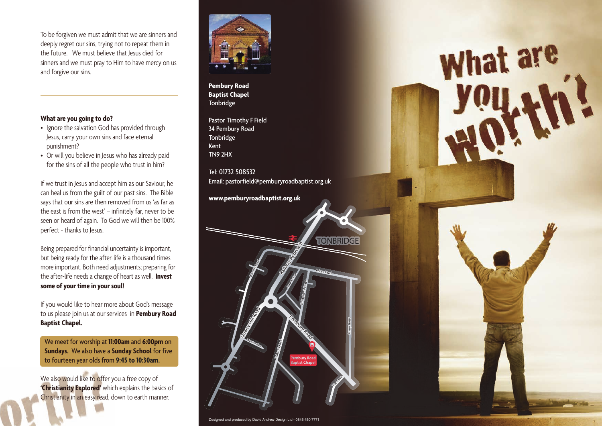To be forgiven we must admit that we are sinners and deeply regret our sins, trying not to repeat them in the future. We must believe that Jesus died for sinners and we must pray to Him to have mercy on us and forgive our sins.

### **What are you going to do?**

- Ignore the salvation God has provided through Jesus, carry your own sins and face eternal punishment?
- Or will you believe in Jesus who has already paid for the sins of all the people who trust in him?

If we trust in Jesus and accept him as our Saviour, he can heal us from the guilt of our past sins. The Bible says that our sins are then removed from us 'as far as the east is from the west' – infinitely far, never to be seen or heard of again. To God we will then be 100% perfect - thanks to Jesus.

Being prepared for financial uncertainty is important, but being ready for the after-life is a thousand times more important. Both need adjustments; preparing for the after-life needs a change of heart as well. **Invest some of your time in your soul!** 

If you would like to hear more about God's message to us please join us at our services in **Pembury Road Baptist Chapel.** 

We meet for worship at **11:00am** and **6:00pm** on **Sundays.** We also have a **Sunday School** for five to fourteen year olds from **9:45 to 10:30am.**

We also would like to offer you a free copy of **'Christianity Explored'** which explains the basics of Christianity in an easy read, down to earth manner.



**Pembury Road Baptist Chapel Tonbridge** 

Pastor Timothy F Field 34 Pembury Road **Tonbridge** Kent TN9 2HX

Tel: 01732 508532 Email: pastorfield@pemburyroadbaptist.org.uk What are

### **www.pemburyroadbaptist.org.uk**



Designed and produced by David Andrew Design Ltd - 0845 450 7771